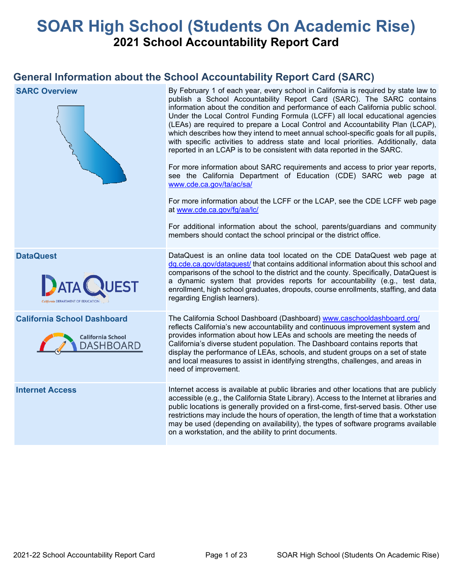# **SOAR High School (Students On Academic Rise) 2021 School Accountability Report Card**

## **General Information about the School Accountability Report Card (SARC)**

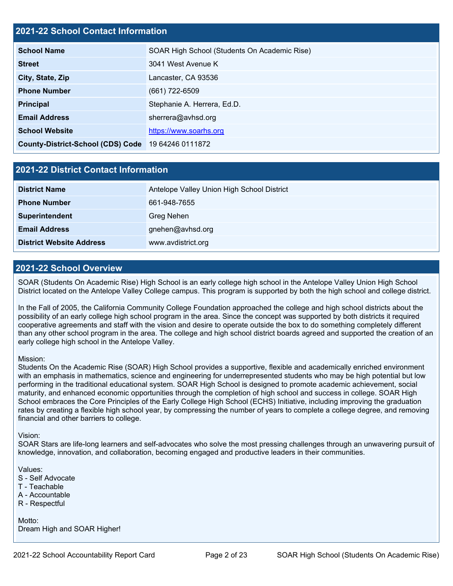## **2021-22 School Contact Information**

| <b>School Name</b>                       | SOAR High School (Students On Academic Rise) |  |  |  |  |
|------------------------------------------|----------------------------------------------|--|--|--|--|
| <b>Street</b>                            | 3041 West Avenue K                           |  |  |  |  |
| City, State, Zip                         | Lancaster, CA 93536                          |  |  |  |  |
| <b>Phone Number</b>                      | $(661)$ 722-6509                             |  |  |  |  |
| <b>Principal</b>                         | Stephanie A. Herrera, Ed.D.                  |  |  |  |  |
| <b>Email Address</b>                     | sherrera@avhsd.org                           |  |  |  |  |
| <b>School Website</b>                    | https://www.soarhs.org                       |  |  |  |  |
| <b>County-District-School (CDS) Code</b> | 19 64246 0111872                             |  |  |  |  |

## **2021-22 District Contact Information**

| <b>District Name</b>            | Antelope Valley Union High School District |  |  |  |  |
|---------------------------------|--------------------------------------------|--|--|--|--|
| <b>Phone Number</b>             | 661-948-7655                               |  |  |  |  |
| Superintendent                  | Greg Nehen                                 |  |  |  |  |
| <b>Email Address</b>            | gnehen@avhsd.org                           |  |  |  |  |
| <b>District Website Address</b> | www.avdistrict.org                         |  |  |  |  |

#### **2021-22 School Overview**

SOAR (Students On Academic Rise) High School is an early college high school in the Antelope Valley Union High School District located on the Antelope Valley College campus. This program is supported by both the high school and college district.

In the Fall of 2005, the California Community College Foundation approached the college and high school districts about the possibility of an early college high school program in the area. Since the concept was supported by both districts it required cooperative agreements and staff with the vision and desire to operate outside the box to do something completely different than any other school program in the area. The college and high school district boards agreed and supported the creation of an early college high school in the Antelope Valley.

#### Mission:

Students On the Academic Rise (SOAR) High School provides a supportive, flexible and academically enriched environment with an emphasis in mathematics, science and engineering for underrepresented students who may be high potential but low performing in the traditional educational system. SOAR High School is designed to promote academic achievement, social maturity, and enhanced economic opportunities through the completion of high school and success in college. SOAR High School embraces the Core Principles of the Early College High School (ECHS) Initiative, including improving the graduation rates by creating a flexible high school year, by compressing the number of years to complete a college degree, and removing financial and other barriers to college.

#### Vision:

SOAR Stars are life-long learners and self-advocates who solve the most pressing challenges through an unwavering pursuit of knowledge, innovation, and collaboration, becoming engaged and productive leaders in their communities.

Values:

- S Self Advocate
- T Teachable
- A Accountable
- R Respectful

Motto: Dream High and SOAR Higher!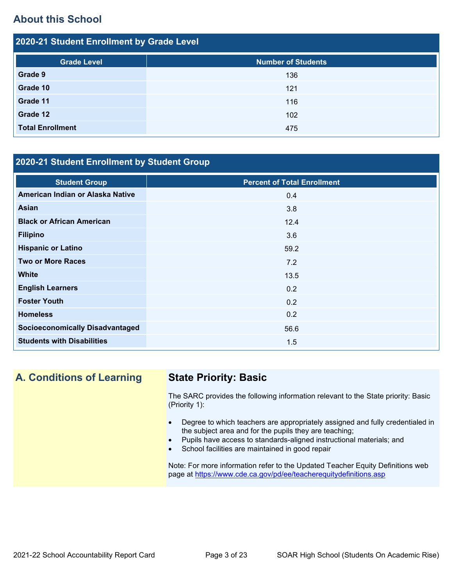## **About this School**

| 2020-21 Student Enrollment by Grade Level |                           |  |  |  |
|-------------------------------------------|---------------------------|--|--|--|
| <b>Grade Level</b>                        | <b>Number of Students</b> |  |  |  |
| Grade 9                                   | 136                       |  |  |  |
| Grade 10                                  | 121                       |  |  |  |
| Grade 11                                  | 116                       |  |  |  |
| Grade 12                                  | 102                       |  |  |  |
| <b>Total Enrollment</b>                   | 475                       |  |  |  |

## **2020-21 Student Enrollment by Student Group**

| <b>Student Group</b>                   | <b>Percent of Total Enrollment</b> |
|----------------------------------------|------------------------------------|
| American Indian or Alaska Native       | 0.4                                |
| Asian                                  | 3.8                                |
| <b>Black or African American</b>       | 12.4                               |
| <b>Filipino</b>                        | 3.6                                |
| <b>Hispanic or Latino</b>              | 59.2                               |
| <b>Two or More Races</b>               | 7.2                                |
| <b>White</b>                           | 13.5                               |
| <b>English Learners</b>                | 0.2                                |
| <b>Foster Youth</b>                    | 0.2                                |
| <b>Homeless</b>                        | 0.2                                |
| <b>Socioeconomically Disadvantaged</b> | 56.6                               |
| <b>Students with Disabilities</b>      | 1.5                                |

## **A. Conditions of Learning State Priority: Basic**

The SARC provides the following information relevant to the State priority: Basic (Priority 1):

- Degree to which teachers are appropriately assigned and fully credentialed in the subject area and for the pupils they are teaching;
- Pupils have access to standards-aligned instructional materials; and
- School facilities are maintained in good repair

Note: For more information refer to the Updated Teacher Equity Definitions web page at<https://www.cde.ca.gov/pd/ee/teacherequitydefinitions.asp>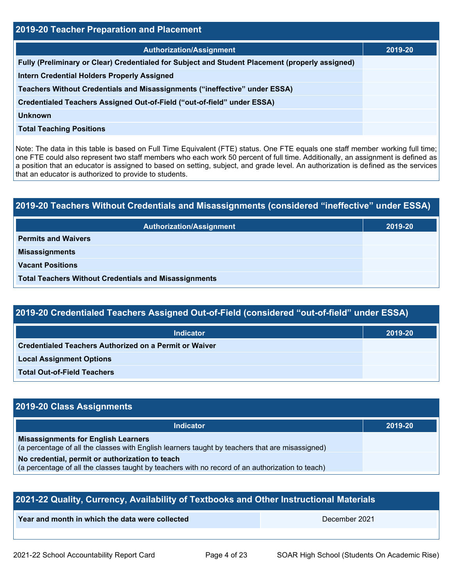| 2019-20 Teacher Preparation and Placement                                                       |         |  |  |
|-------------------------------------------------------------------------------------------------|---------|--|--|
| <b>Authorization/Assignment</b>                                                                 | 2019-20 |  |  |
| Fully (Preliminary or Clear) Credentialed for Subject and Student Placement (properly assigned) |         |  |  |
| <b>Intern Credential Holders Properly Assigned</b>                                              |         |  |  |
| Teachers Without Credentials and Misassignments ("ineffective" under ESSA)                      |         |  |  |
| Credentialed Teachers Assigned Out-of-Field ("out-of-field" under ESSA)                         |         |  |  |
| <b>Unknown</b>                                                                                  |         |  |  |
| <b>Total Teaching Positions</b>                                                                 |         |  |  |
|                                                                                                 |         |  |  |

Note: The data in this table is based on Full Time Equivalent (FTE) status. One FTE equals one staff member working full time; one FTE could also represent two staff members who each work 50 percent of full time. Additionally, an assignment is defined as a position that an educator is assigned to based on setting, subject, and grade level. An authorization is defined as the services that an educator is authorized to provide to students.

# **2019-20 Teachers Without Credentials and Misassignments (considered "ineffective" under ESSA) Authorization/Assignment 2019-20 Permits and Waivers Misassignments Vacant Positions Total Teachers Without Credentials and Misassignments**

| 2019-20 Credentialed Teachers Assigned Out-of-Field (considered "out-of-field" under ESSA) |  |
|--------------------------------------------------------------------------------------------|--|
|                                                                                            |  |

| Indicator                                                     | 2019-20 |
|---------------------------------------------------------------|---------|
| <b>Credentialed Teachers Authorized on a Permit or Waiver</b> |         |
| <b>Local Assignment Options</b>                               |         |
| <b>Total Out-of-Field Teachers</b>                            |         |

## **2019-20 Class Assignments**

| <b>Indicator</b>                                                                                                                                    | 2019-20 |
|-----------------------------------------------------------------------------------------------------------------------------------------------------|---------|
| <b>Misassignments for English Learners</b><br>(a percentage of all the classes with English learners taught by teachers that are misassigned)       |         |
| No credential, permit or authorization to teach<br>(a percentage of all the classes taught by teachers with no record of an authorization to teach) |         |

| 2021-22 Quality, Currency, Availability of Textbooks and Other Instructional Materials |  |  |  |  |  |  |
|----------------------------------------------------------------------------------------|--|--|--|--|--|--|
| Year and month in which the data were collected<br>December 2021                       |  |  |  |  |  |  |
|                                                                                        |  |  |  |  |  |  |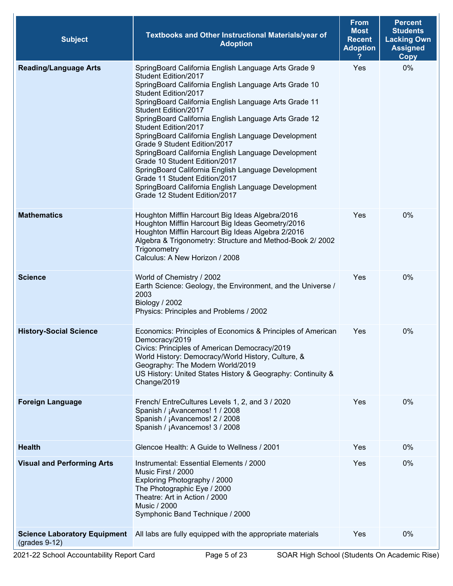| <b>Subject</b>                                         | Textbooks and Other Instructional Materials/year of<br><b>Adoption</b>                                                                                                                                                                                                                                                                                                                                                                                                                                                                                                                                                                                                                         | <b>From</b><br><b>Most</b><br><b>Recent</b><br><b>Adoption</b> | <b>Percent</b><br><b>Students</b><br><b>Lacking Own</b><br><b>Assigned</b><br><b>Copy</b> |
|--------------------------------------------------------|------------------------------------------------------------------------------------------------------------------------------------------------------------------------------------------------------------------------------------------------------------------------------------------------------------------------------------------------------------------------------------------------------------------------------------------------------------------------------------------------------------------------------------------------------------------------------------------------------------------------------------------------------------------------------------------------|----------------------------------------------------------------|-------------------------------------------------------------------------------------------|
| <b>Reading/Language Arts</b>                           | SpringBoard California English Language Arts Grade 9<br>Student Edition/2017<br>SpringBoard California English Language Arts Grade 10<br>Student Edition/2017<br>SpringBoard California English Language Arts Grade 11<br>Student Edition/2017<br>SpringBoard California English Language Arts Grade 12<br>Student Edition/2017<br>SpringBoard California English Language Development<br>Grade 9 Student Edition/2017<br>SpringBoard California English Language Development<br>Grade 10 Student Edition/2017<br>SpringBoard California English Language Development<br>Grade 11 Student Edition/2017<br>SpringBoard California English Language Development<br>Grade 12 Student Edition/2017 | Yes                                                            | 0%                                                                                        |
| <b>Mathematics</b>                                     | Houghton Mifflin Harcourt Big Ideas Algebra/2016<br>Houghton Mifflin Harcourt Big Ideas Geometry/2016<br>Houghton Mifflin Harcourt Big Ideas Algebra 2/2016<br>Algebra & Trigonometry: Structure and Method-Book 2/ 2002<br>Trigonometry<br>Calculus: A New Horizon / 2008                                                                                                                                                                                                                                                                                                                                                                                                                     | Yes                                                            | 0%                                                                                        |
| <b>Science</b>                                         | World of Chemistry / 2002<br>Earth Science: Geology, the Environment, and the Universe /<br>2003<br>Biology / 2002<br>Physics: Principles and Problems / 2002                                                                                                                                                                                                                                                                                                                                                                                                                                                                                                                                  | Yes                                                            | 0%                                                                                        |
| <b>History-Social Science</b>                          | Economics: Principles of Economics & Principles of American<br>Democracy/2019<br>Civics: Principles of American Democracy/2019<br>World History: Democracy/World History, Culture, &<br>Geography: The Modern World/2019<br>US History: United States History & Geography: Continuity &<br>Change/2019                                                                                                                                                                                                                                                                                                                                                                                         | Yes                                                            | 0%                                                                                        |
| <b>Foreign Language</b>                                | French/ EntreCultures Levels 1, 2, and 3 / 2020<br>Spanish / ¡Avancemos! 1 / 2008<br>Spanish / ¡Avancemos! 2 / 2008<br>Spanish / ¡Avancemos! 3 / 2008                                                                                                                                                                                                                                                                                                                                                                                                                                                                                                                                          | Yes                                                            | 0%                                                                                        |
| <b>Health</b>                                          | Glencoe Health: A Guide to Wellness / 2001                                                                                                                                                                                                                                                                                                                                                                                                                                                                                                                                                                                                                                                     | Yes                                                            | 0%                                                                                        |
| <b>Visual and Performing Arts</b>                      | Instrumental: Essential Elements / 2000<br>Music First / 2000<br>Exploring Photography / 2000<br>The Photographic Eye / 2000<br>Theatre: Art in Action / 2000<br><b>Music / 2000</b><br>Symphonic Band Technique / 2000                                                                                                                                                                                                                                                                                                                                                                                                                                                                        | Yes                                                            | 0%                                                                                        |
| <b>Science Laboratory Equipment</b><br>$(grades 9-12)$ | All labs are fully equipped with the appropriate materials                                                                                                                                                                                                                                                                                                                                                                                                                                                                                                                                                                                                                                     | Yes                                                            | 0%                                                                                        |

Ŷ.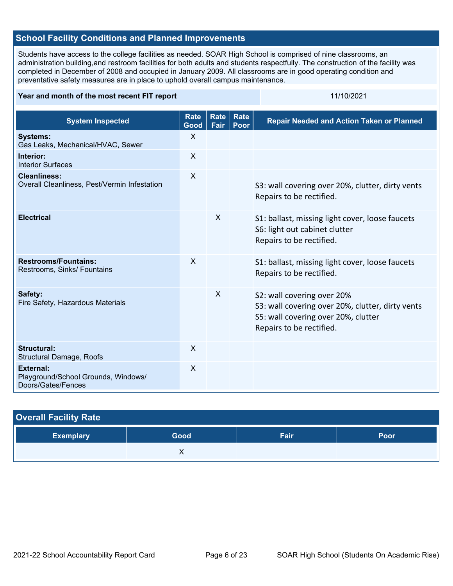## **School Facility Conditions and Planned Improvements**

Students have access to the college facilities as needed. SOAR High School is comprised of nine classrooms, an administration building,and restroom facilities for both adults and students respectfully. The construction of the facility was completed in December of 2008 and occupied in January 2009. All classrooms are in good operating condition and preventative safety measures are in place to uphold overall campus maintenance.

#### **Year and month of the most recent FIT report** 11/10/2021

| <b>System Inspected</b>                                                       | <b>Rate</b><br>Good | Rate<br>Fair | <b>Rate</b><br>Poor | <b>Repair Needed and Action Taken or Planned</b>                                                                                                  |
|-------------------------------------------------------------------------------|---------------------|--------------|---------------------|---------------------------------------------------------------------------------------------------------------------------------------------------|
| <b>Systems:</b><br>Gas Leaks, Mechanical/HVAC, Sewer                          | X                   |              |                     |                                                                                                                                                   |
| Interior:<br><b>Interior Surfaces</b>                                         | $\sf X$             |              |                     |                                                                                                                                                   |
| <b>Cleanliness:</b><br>Overall Cleanliness, Pest/Vermin Infestation           | $\mathsf{X}$        |              |                     | S3: wall covering over 20%, clutter, dirty vents<br>Repairs to be rectified.                                                                      |
| <b>Electrical</b>                                                             |                     | $\times$     |                     | S1: ballast, missing light cover, loose faucets<br>S6: light out cabinet clutter<br>Repairs to be rectified.                                      |
| <b>Restrooms/Fountains:</b><br>Restrooms, Sinks/ Fountains                    | $\mathsf{X}$        |              |                     | S1: ballast, missing light cover, loose faucets<br>Repairs to be rectified.                                                                       |
| Safety:<br>Fire Safety, Hazardous Materials                                   |                     | $\times$     |                     | S2: wall covering over 20%<br>S3: wall covering over 20%, clutter, dirty vents<br>S5: wall covering over 20%, clutter<br>Repairs to be rectified. |
| <b>Structural:</b><br><b>Structural Damage, Roofs</b>                         | $\mathsf{X}$        |              |                     |                                                                                                                                                   |
| <b>External:</b><br>Playground/School Grounds, Windows/<br>Doors/Gates/Fences | $\sf X$             |              |                     |                                                                                                                                                   |

| <b>Overall Facility Rate</b> |      |      |      |  |  |
|------------------------------|------|------|------|--|--|
| <b>Exemplary</b>             | Good | Fair | Poor |  |  |
|                              |      |      |      |  |  |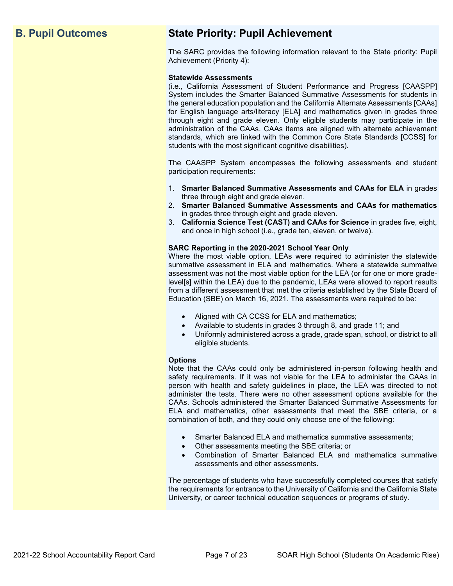## **B. Pupil Outcomes State Priority: Pupil Achievement**

The SARC provides the following information relevant to the State priority: Pupil Achievement (Priority 4):

#### **Statewide Assessments**

(i.e., California Assessment of Student Performance and Progress [CAASPP] System includes the Smarter Balanced Summative Assessments for students in the general education population and the California Alternate Assessments [CAAs] for English language arts/literacy [ELA] and mathematics given in grades three through eight and grade eleven. Only eligible students may participate in the administration of the CAAs. CAAs items are aligned with alternate achievement standards, which are linked with the Common Core State Standards [CCSS] for students with the most significant cognitive disabilities).

The CAASPP System encompasses the following assessments and student participation requirements:

- 1. **Smarter Balanced Summative Assessments and CAAs for ELA** in grades three through eight and grade eleven.
- 2. **Smarter Balanced Summative Assessments and CAAs for mathematics** in grades three through eight and grade eleven.
- 3. **California Science Test (CAST) and CAAs for Science** in grades five, eight, and once in high school (i.e., grade ten, eleven, or twelve).

#### **SARC Reporting in the 2020-2021 School Year Only**

Where the most viable option, LEAs were required to administer the statewide summative assessment in ELA and mathematics. Where a statewide summative assessment was not the most viable option for the LEA (or for one or more gradelevel[s] within the LEA) due to the pandemic, LEAs were allowed to report results from a different assessment that met the criteria established by the State Board of Education (SBE) on March 16, 2021. The assessments were required to be:

- Aligned with CA CCSS for ELA and mathematics;
- Available to students in grades 3 through 8, and grade 11; and
- Uniformly administered across a grade, grade span, school, or district to all eligible students.

#### **Options**

Note that the CAAs could only be administered in-person following health and safety requirements. If it was not viable for the LEA to administer the CAAs in person with health and safety guidelines in place, the LEA was directed to not administer the tests. There were no other assessment options available for the CAAs. Schools administered the Smarter Balanced Summative Assessments for ELA and mathematics, other assessments that meet the SBE criteria, or a combination of both, and they could only choose one of the following:

- Smarter Balanced ELA and mathematics summative assessments;
- Other assessments meeting the SBE criteria; or
- Combination of Smarter Balanced ELA and mathematics summative assessments and other assessments.

The percentage of students who have successfully completed courses that satisfy the requirements for entrance to the University of California and the California State University, or career technical education sequences or programs of study.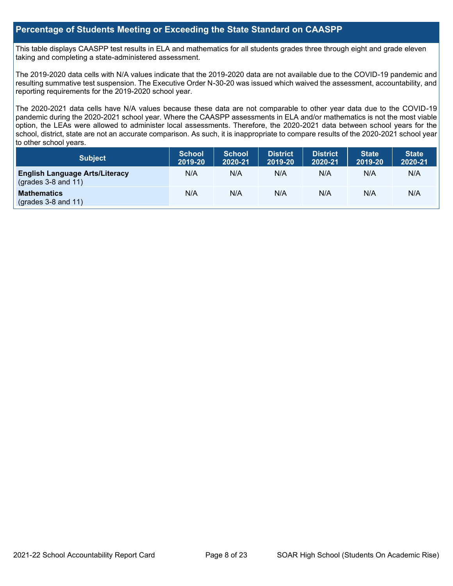## **Percentage of Students Meeting or Exceeding the State Standard on CAASPP**

This table displays CAASPP test results in ELA and mathematics for all students grades three through eight and grade eleven taking and completing a state-administered assessment.

The 2019-2020 data cells with N/A values indicate that the 2019-2020 data are not available due to the COVID-19 pandemic and resulting summative test suspension. The Executive Order N-30-20 was issued which waived the assessment, accountability, and reporting requirements for the 2019-2020 school year.

The 2020-2021 data cells have N/A values because these data are not comparable to other year data due to the COVID-19 pandemic during the 2020-2021 school year. Where the CAASPP assessments in ELA and/or mathematics is not the most viable option, the LEAs were allowed to administer local assessments. Therefore, the 2020-2021 data between school years for the school, district, state are not an accurate comparison. As such, it is inappropriate to compare results of the 2020-2021 school year to other school years.

| <b>Subject</b>                                                 | <b>School</b><br>2019-20 | <b>School</b><br>2020-21 | District<br>2019-20 | <b>District</b><br>2020-21 | <b>State</b><br>2019-20 | <b>State</b><br>2020-21 |
|----------------------------------------------------------------|--------------------------|--------------------------|---------------------|----------------------------|-------------------------|-------------------------|
| <b>English Language Arts/Literacy</b><br>$(grades 3-8 and 11)$ | N/A                      | N/A                      | N/A                 | N/A                        | N/A                     | N/A                     |
| <b>Mathematics</b><br>$(grades 3-8 and 11)$                    | N/A                      | N/A                      | N/A                 | N/A                        | N/A                     | N/A                     |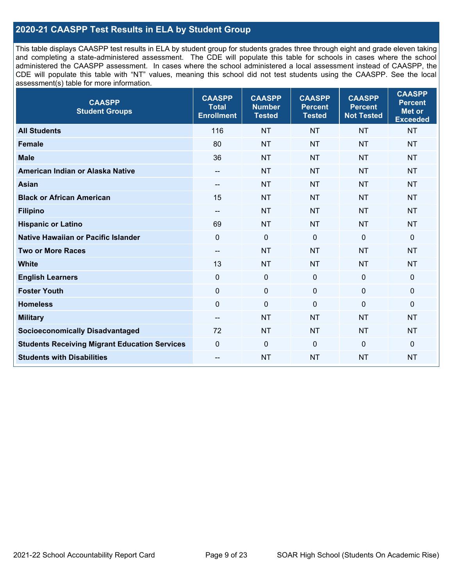## **2020-21 CAASPP Test Results in ELA by Student Group**

This table displays CAASPP test results in ELA by student group for students grades three through eight and grade eleven taking and completing a state-administered assessment. The CDE will populate this table for schools in cases where the school administered the CAASPP assessment. In cases where the school administered a local assessment instead of CAASPP, the CDE will populate this table with "NT" values, meaning this school did not test students using the CAASPP. See the local assessment(s) table for more information.

| <b>CAASPP</b><br><b>Student Groups</b>               | <b>CAASPP</b><br><b>Total</b><br><b>Enrollment</b> | <b>CAASPP</b><br><b>Number</b><br><b>Tested</b> | <b>CAASPP</b><br><b>Percent</b><br><b>Tested</b> | <b>CAASPP</b><br><b>Percent</b><br><b>Not Tested</b> | <b>CAASPP</b><br><b>Percent</b><br><b>Met or</b><br><b>Exceeded</b> |
|------------------------------------------------------|----------------------------------------------------|-------------------------------------------------|--------------------------------------------------|------------------------------------------------------|---------------------------------------------------------------------|
| <b>All Students</b>                                  | 116                                                | <b>NT</b>                                       | <b>NT</b>                                        | <b>NT</b>                                            | <b>NT</b>                                                           |
| <b>Female</b>                                        | 80                                                 | <b>NT</b>                                       | <b>NT</b>                                        | <b>NT</b>                                            | <b>NT</b>                                                           |
| <b>Male</b>                                          | 36                                                 | <b>NT</b>                                       | <b>NT</b>                                        | <b>NT</b>                                            | <b>NT</b>                                                           |
| American Indian or Alaska Native                     | $\overline{\phantom{a}}$                           | <b>NT</b>                                       | <b>NT</b>                                        | <b>NT</b>                                            | <b>NT</b>                                                           |
| <b>Asian</b>                                         | $\overline{\phantom{a}}$                           | <b>NT</b>                                       | <b>NT</b>                                        | <b>NT</b>                                            | <b>NT</b>                                                           |
| <b>Black or African American</b>                     | 15                                                 | <b>NT</b>                                       | <b>NT</b>                                        | <b>NT</b>                                            | <b>NT</b>                                                           |
| <b>Filipino</b>                                      | --                                                 | <b>NT</b>                                       | <b>NT</b>                                        | <b>NT</b>                                            | <b>NT</b>                                                           |
| <b>Hispanic or Latino</b>                            | 69                                                 | <b>NT</b>                                       | <b>NT</b>                                        | <b>NT</b>                                            | <b>NT</b>                                                           |
| Native Hawaiian or Pacific Islander                  | $\mathbf 0$                                        | $\pmb{0}$                                       | $\mathbf 0$                                      | $\mathbf 0$                                          | 0                                                                   |
| <b>Two or More Races</b>                             | $\overline{\phantom{a}}$                           | <b>NT</b>                                       | <b>NT</b>                                        | <b>NT</b>                                            | <b>NT</b>                                                           |
| <b>White</b>                                         | 13                                                 | <b>NT</b>                                       | <b>NT</b>                                        | <b>NT</b>                                            | <b>NT</b>                                                           |
| <b>English Learners</b>                              | $\mathbf 0$                                        | $\mathbf 0$                                     | $\mathbf{0}$                                     | $\mathbf 0$                                          | 0                                                                   |
| <b>Foster Youth</b>                                  | $\mathbf 0$                                        | $\mathbf 0$                                     | $\mathbf 0$                                      | $\mathbf 0$                                          | 0                                                                   |
| <b>Homeless</b>                                      | $\mathbf 0$                                        | $\pmb{0}$                                       | $\mathbf 0$                                      | $\mathbf 0$                                          | 0                                                                   |
| <b>Military</b>                                      | --                                                 | <b>NT</b>                                       | <b>NT</b>                                        | <b>NT</b>                                            | <b>NT</b>                                                           |
| <b>Socioeconomically Disadvantaged</b>               | 72                                                 | <b>NT</b>                                       | <b>NT</b>                                        | <b>NT</b>                                            | <b>NT</b>                                                           |
| <b>Students Receiving Migrant Education Services</b> | $\Omega$                                           | $\mathbf 0$                                     | $\mathbf 0$                                      | $\mathbf 0$                                          | 0                                                                   |
| <b>Students with Disabilities</b>                    | --                                                 | <b>NT</b>                                       | <b>NT</b>                                        | <b>NT</b>                                            | <b>NT</b>                                                           |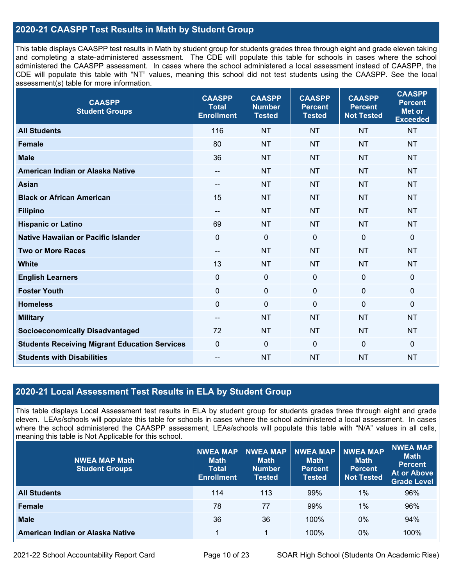## **2020-21 CAASPP Test Results in Math by Student Group**

This table displays CAASPP test results in Math by student group for students grades three through eight and grade eleven taking and completing a state-administered assessment. The CDE will populate this table for schools in cases where the school administered the CAASPP assessment. In cases where the school administered a local assessment instead of CAASPP, the CDE will populate this table with "NT" values, meaning this school did not test students using the CAASPP. See the local assessment(s) table for more information.

| <b>CAASPP</b><br><b>Student Groups</b>               | <b>CAASPP</b><br><b>Total</b><br><b>Enrollment</b> | <b>CAASPP</b><br><b>Number</b><br><b>Tested</b> | <b>CAASPP</b><br><b>Percent</b><br><b>Tested</b> | <b>CAASPP</b><br><b>Percent</b><br><b>Not Tested</b> | <b>CAASPP</b><br><b>Percent</b><br><b>Met or</b><br><b>Exceeded</b> |
|------------------------------------------------------|----------------------------------------------------|-------------------------------------------------|--------------------------------------------------|------------------------------------------------------|---------------------------------------------------------------------|
| <b>All Students</b>                                  | 116                                                | <b>NT</b>                                       | <b>NT</b>                                        | <b>NT</b>                                            | <b>NT</b>                                                           |
| <b>Female</b>                                        | 80                                                 | <b>NT</b>                                       | <b>NT</b>                                        | <b>NT</b>                                            | <b>NT</b>                                                           |
| <b>Male</b>                                          | 36                                                 | <b>NT</b>                                       | <b>NT</b>                                        | <b>NT</b>                                            | <b>NT</b>                                                           |
| American Indian or Alaska Native                     | --                                                 | <b>NT</b>                                       | <b>NT</b>                                        | <b>NT</b>                                            | <b>NT</b>                                                           |
| <b>Asian</b>                                         | $-$                                                | <b>NT</b>                                       | <b>NT</b>                                        | <b>NT</b>                                            | <b>NT</b>                                                           |
| <b>Black or African American</b>                     | 15                                                 | <b>NT</b>                                       | <b>NT</b>                                        | <b>NT</b>                                            | <b>NT</b>                                                           |
| <b>Filipino</b>                                      | $\overline{\phantom{a}}$                           | <b>NT</b>                                       | <b>NT</b>                                        | <b>NT</b>                                            | <b>NT</b>                                                           |
| <b>Hispanic or Latino</b>                            | 69                                                 | <b>NT</b>                                       | <b>NT</b>                                        | <b>NT</b>                                            | <b>NT</b>                                                           |
| <b>Native Hawaiian or Pacific Islander</b>           | $\mathbf 0$                                        | $\pmb{0}$                                       | $\mathbf 0$                                      | $\overline{0}$                                       | 0                                                                   |
| <b>Two or More Races</b>                             | $\overline{\phantom{a}}$                           | <b>NT</b>                                       | <b>NT</b>                                        | <b>NT</b>                                            | <b>NT</b>                                                           |
| <b>White</b>                                         | 13                                                 | <b>NT</b>                                       | <b>NT</b>                                        | <b>NT</b>                                            | <b>NT</b>                                                           |
| <b>English Learners</b>                              | $\mathbf 0$                                        | $\boldsymbol{0}$                                | $\mathbf 0$                                      | $\overline{0}$                                       | 0                                                                   |
| <b>Foster Youth</b>                                  | $\mathbf 0$                                        | $\mathbf 0$                                     | $\mathbf 0$                                      | $\mathbf 0$                                          | 0                                                                   |
| <b>Homeless</b>                                      | $\mathbf 0$                                        | $\mathbf 0$                                     | $\mathbf{0}$                                     | $\mathbf 0$                                          | 0                                                                   |
| <b>Military</b>                                      | --                                                 | <b>NT</b>                                       | <b>NT</b>                                        | <b>NT</b>                                            | <b>NT</b>                                                           |
| <b>Socioeconomically Disadvantaged</b>               | 72                                                 | <b>NT</b>                                       | <b>NT</b>                                        | <b>NT</b>                                            | <b>NT</b>                                                           |
| <b>Students Receiving Migrant Education Services</b> | $\mathbf 0$                                        | $\mathbf 0$                                     | $\mathbf 0$                                      | $\mathbf 0$                                          | 0                                                                   |
| <b>Students with Disabilities</b>                    | --                                                 | <b>NT</b>                                       | <b>NT</b>                                        | <b>NT</b>                                            | <b>NT</b>                                                           |

## **2020-21 Local Assessment Test Results in ELA by Student Group**

This table displays Local Assessment test results in ELA by student group for students grades three through eight and grade eleven. LEAs/schools will populate this table for schools in cases where the school administered a local assessment. In cases where the school administered the CAASPP assessment, LEAs/schools will populate this table with "N/A" values in all cells, meaning this table is Not Applicable for this school.

| <b>NWEA MAP Math</b><br><b>Student Groups</b> | <b>NWEA MAP</b><br><b>Math</b><br><b>Total</b><br><b>Enrollment</b> | <b>NWEA MAP</b><br><b>Math</b><br><b>Number</b><br><b>Tested</b> | <b>NWEA MAP</b><br><b>Math</b><br><b>Percent</b><br><b>Tested</b> | <b>NWEA MAP</b><br><b>Math</b><br><b>Percent</b><br><b>Not Tested</b> | NWEA MAP<br><b>Math</b><br><b>Percent</b><br><b>At or Above</b><br><b>Grade Level</b> |
|-----------------------------------------------|---------------------------------------------------------------------|------------------------------------------------------------------|-------------------------------------------------------------------|-----------------------------------------------------------------------|---------------------------------------------------------------------------------------|
| <b>All Students</b>                           | 114                                                                 | 113                                                              | 99%                                                               | 1%                                                                    | 96%                                                                                   |
| <b>Female</b>                                 | 78                                                                  | 77                                                               | 99%                                                               | 1%                                                                    | 96%                                                                                   |
| <b>Male</b>                                   | 36                                                                  | 36                                                               | 100%                                                              | 0%                                                                    | 94%                                                                                   |
| American Indian or Alaska Native              |                                                                     |                                                                  | 100%                                                              | 0%                                                                    | 100%                                                                                  |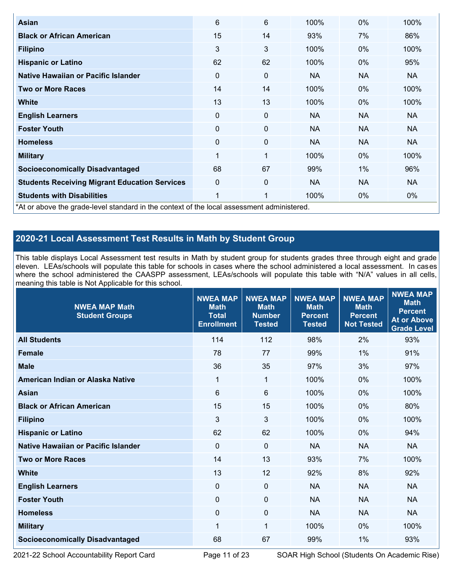| Asian                                                                                      | 6           | 6  | 100%      | 0%        | 100%      |  |  |  |
|--------------------------------------------------------------------------------------------|-------------|----|-----------|-----------|-----------|--|--|--|
| <b>Black or African American</b>                                                           | 15          | 14 | 93%       | 7%        | 86%       |  |  |  |
| <b>Filipino</b>                                                                            | 3           | 3  | 100%      | 0%        | 100%      |  |  |  |
| <b>Hispanic or Latino</b>                                                                  | 62          | 62 | 100%      | $0\%$     | 95%       |  |  |  |
| Native Hawaiian or Pacific Islander                                                        | 0           | 0  | NA.       | <b>NA</b> | NA.       |  |  |  |
| <b>Two or More Races</b>                                                                   | 14          | 14 | 100%      | $0\%$     | 100%      |  |  |  |
| <b>White</b>                                                                               | 13          | 13 | 100%      | $0\%$     | 100%      |  |  |  |
| <b>English Learners</b>                                                                    | 0           | 0  | <b>NA</b> | <b>NA</b> | <b>NA</b> |  |  |  |
| <b>Foster Youth</b>                                                                        | 0           | 0  | <b>NA</b> | <b>NA</b> | <b>NA</b> |  |  |  |
| <b>Homeless</b>                                                                            | 0           | 0  | <b>NA</b> | <b>NA</b> | <b>NA</b> |  |  |  |
| <b>Military</b>                                                                            | 1           | 1  | 100%      | 0%        | 100%      |  |  |  |
| <b>Socioeconomically Disadvantaged</b>                                                     | 68          | 67 | 99%       | 1%        | 96%       |  |  |  |
| <b>Students Receiving Migrant Education Services</b>                                       | $\mathbf 0$ | 0  | <b>NA</b> | <b>NA</b> | <b>NA</b> |  |  |  |
| <b>Students with Disabilities</b>                                                          | 1           | 1  | 100%      | 0%        | $0\%$     |  |  |  |
| *At or above the grade-level standard in the context of the local assessment administered. |             |    |           |           |           |  |  |  |

**2020-21 Local Assessment Test Results in Math by Student Group**

This table displays Local Assessment test results in Math by student group for students grades three through eight and grade eleven. LEAs/schools will populate this table for schools in cases where the school administered a local assessment. In cases where the school administered the CAASPP assessment, LEAs/schools will populate this table with "N/A" values in all cells, meaning this table is Not Applicable for this school.

| <b>NWEA MAP Math</b><br><b>Student Groups</b> | <b>NWEA MAP</b><br><b>Math</b><br><b>Total</b><br><b>Enrollment</b> | <b>NWEA MAP</b><br><b>Math</b><br><b>Number</b><br><b>Tested</b> | <b>NWEA MAP</b><br><b>Math</b><br><b>Percent</b><br><b>Tested</b> | <b>NWEA MAP</b><br><b>Math</b><br><b>Percent</b><br><b>Not Tested</b> | <b>NWEA MAP</b><br><b>Math</b><br><b>Percent</b><br><b>At or Above</b><br><b>Grade Level</b> |
|-----------------------------------------------|---------------------------------------------------------------------|------------------------------------------------------------------|-------------------------------------------------------------------|-----------------------------------------------------------------------|----------------------------------------------------------------------------------------------|
| <b>All Students</b>                           | 114                                                                 | 112                                                              | 98%                                                               | 2%                                                                    | 93%                                                                                          |
| <b>Female</b>                                 | 78                                                                  | 77                                                               | 99%                                                               | 1%                                                                    | 91%                                                                                          |
| <b>Male</b>                                   | 36                                                                  | 35                                                               | 97%                                                               | 3%                                                                    | 97%                                                                                          |
| American Indian or Alaska Native              | 1                                                                   | 1                                                                | 100%                                                              | 0%                                                                    | 100%                                                                                         |
| <b>Asian</b>                                  | 6                                                                   | 6                                                                | 100%                                                              | 0%                                                                    | 100%                                                                                         |
| <b>Black or African American</b>              | 15                                                                  | 15                                                               | 100%                                                              | 0%                                                                    | 80%                                                                                          |
| <b>Filipino</b>                               | $\mathfrak{S}$                                                      | 3                                                                | 100%                                                              | $0\%$                                                                 | 100%                                                                                         |
| <b>Hispanic or Latino</b>                     | 62                                                                  | 62                                                               | 100%                                                              | 0%                                                                    | 94%                                                                                          |
| Native Hawaiian or Pacific Islander           | $\mathbf 0$                                                         | $\mathbf 0$                                                      | <b>NA</b>                                                         | <b>NA</b>                                                             | <b>NA</b>                                                                                    |
| <b>Two or More Races</b>                      | 14                                                                  | 13                                                               | 93%                                                               | 7%                                                                    | 100%                                                                                         |
| <b>White</b>                                  | 13                                                                  | 12                                                               | 92%                                                               | 8%                                                                    | 92%                                                                                          |
| <b>English Learners</b>                       | $\mathbf 0$                                                         | $\mathbf 0$                                                      | <b>NA</b>                                                         | <b>NA</b>                                                             | <b>NA</b>                                                                                    |
| <b>Foster Youth</b>                           | $\mathbf 0$                                                         | $\mathbf 0$                                                      | <b>NA</b>                                                         | <b>NA</b>                                                             | <b>NA</b>                                                                                    |
| <b>Homeless</b>                               | $\Omega$                                                            | $\mathbf{0}$                                                     | <b>NA</b>                                                         | <b>NA</b>                                                             | <b>NA</b>                                                                                    |
| <b>Military</b>                               | 1                                                                   | 1                                                                | 100%                                                              | $0\%$                                                                 | 100%                                                                                         |
| <b>Socioeconomically Disadvantaged</b>        | 68                                                                  | 67                                                               | 99%                                                               | 1%                                                                    | 93%                                                                                          |

2021-22 School Accountability Report Card Page 11 of 23 SOAR High School (Students On Academic Rise)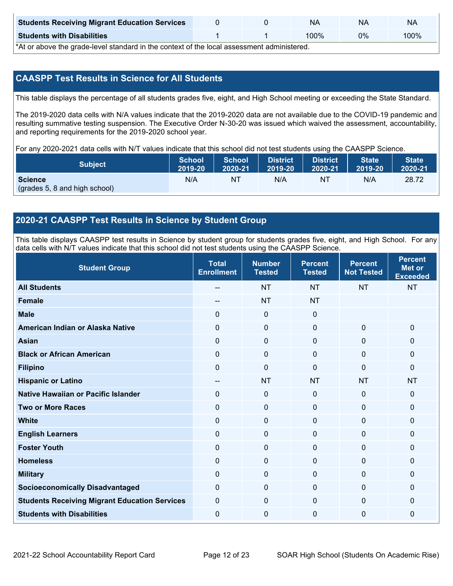| <b>Students Receiving Migrant Education Services</b> |  | NA     | NΑ | NA   |
|------------------------------------------------------|--|--------|----|------|
| <b>Students with Disabilities</b>                    |  | $00\%$ | 0% | 100% |

\*At or above the grade-level standard in the context of the local assessment administered.

## **CAASPP Test Results in Science for All Students**

This table displays the percentage of all students grades five, eight, and High School meeting or exceeding the State Standard.

The 2019-2020 data cells with N/A values indicate that the 2019-2020 data are not available due to the COVID-19 pandemic and resulting summative testing suspension. The Executive Order N-30-20 was issued which waived the assessment, accountability, and reporting requirements for the 2019-2020 school year.

For any 2020-2021 data cells with N/T values indicate that this school did not test students using the CAASPP Science.

| <b>Subject</b>                                  | <b>School</b> | <b>School</b> | <b>District</b> | <b>District</b> | <b>State</b> | <b>State</b> |
|-------------------------------------------------|---------------|---------------|-----------------|-----------------|--------------|--------------|
|                                                 | 2019-20       | 2020-21       | 2019-20         | 2020-21         | 2019-20      | 2020-21      |
| <b>Science</b><br>(grades 5, 8 and high school) | N/A           | NT            | N/A             | N1              | N/A          | 28.72        |

### **2020-21 CAASPP Test Results in Science by Student Group**

This table displays CAASPP test results in Science by student group for students grades five, eight, and High School. For any data cells with N/T values indicate that this school did not test students using the CAASPP Science.

| <b>Student Group</b>                                 | <b>Total</b><br><b>Enrollment</b> | <b>Number</b><br><b>Tested</b> | <b>Percent</b><br><b>Tested</b> | <b>Percent</b><br><b>Not Tested</b> | <b>Percent</b><br><b>Met or</b><br><b>Exceeded</b> |
|------------------------------------------------------|-----------------------------------|--------------------------------|---------------------------------|-------------------------------------|----------------------------------------------------|
| <b>All Students</b>                                  |                                   | <b>NT</b>                      | <b>NT</b>                       | <b>NT</b>                           | <b>NT</b>                                          |
| Female                                               | --                                | <b>NT</b>                      | <b>NT</b>                       |                                     |                                                    |
| <b>Male</b>                                          | $\Omega$                          | 0                              | $\mathbf{0}$                    |                                     |                                                    |
| American Indian or Alaska Native                     | 0                                 | $\mathbf 0$                    | $\mathbf 0$                     | $\mathbf 0$                         | $\mathbf 0$                                        |
| <b>Asian</b>                                         | 0                                 | $\mathbf 0$                    | $\mathbf 0$                     | 0                                   | $\mathbf 0$                                        |
| <b>Black or African American</b>                     | $\Omega$                          | $\mathbf 0$                    | $\Omega$                        | $\Omega$                            | $\mathbf 0$                                        |
| <b>Filipino</b>                                      | 0                                 | $\mathbf 0$                    | $\Omega$                        | $\Omega$                            | $\mathbf 0$                                        |
| <b>Hispanic or Latino</b>                            | --                                | <b>NT</b>                      | <b>NT</b>                       | <b>NT</b>                           | <b>NT</b>                                          |
| <b>Native Hawaiian or Pacific Islander</b>           | $\Omega$                          | $\mathbf 0$                    | $\mathbf{0}$                    | $\overline{0}$                      | $\mathbf 0$                                        |
| <b>Two or More Races</b>                             | 0                                 | $\mathbf 0$                    | $\mathbf 0$                     | $\Omega$                            | $\mathbf 0$                                        |
| <b>White</b>                                         | 0                                 | $\mathbf 0$                    | $\mathbf 0$                     | $\Omega$                            | $\mathbf 0$                                        |
| <b>English Learners</b>                              | 0                                 | $\pmb{0}$                      | $\mathbf 0$                     | $\mathbf 0$                         | $\mathbf 0$                                        |
| <b>Foster Youth</b>                                  | 0                                 | $\mathbf 0$                    | $\mathbf 0$                     | $\Omega$                            | $\mathbf 0$                                        |
| <b>Homeless</b>                                      | 0                                 | $\mathbf 0$                    | $\Omega$                        | $\mathbf{0}$                        | $\mathbf 0$                                        |
| <b>Military</b>                                      | $\Omega$                          | $\mathbf 0$                    | $\Omega$                        | $\Omega$                            | $\mathbf{0}$                                       |
| <b>Socioeconomically Disadvantaged</b>               | $\Omega$                          | 0                              | $\Omega$                        | $\Omega$                            | $\mathbf 0$                                        |
| <b>Students Receiving Migrant Education Services</b> | $\Omega$                          | $\mathbf 0$                    | $\Omega$                        | $\Omega$                            | $\mathbf{0}$                                       |
| <b>Students with Disabilities</b>                    | $\Omega$                          | 0                              | $\mathbf 0$                     | $\Omega$                            | $\mathbf{0}$                                       |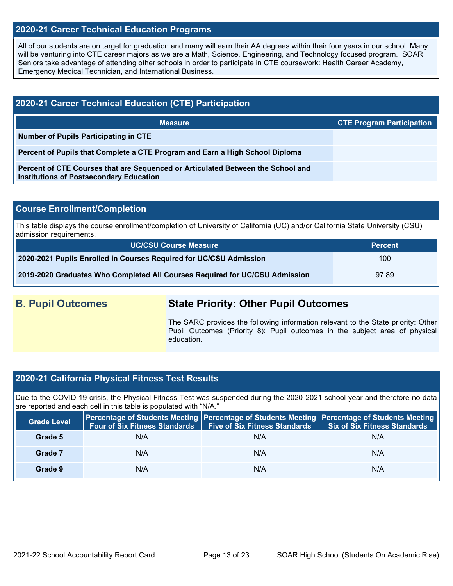### **2020-21 Career Technical Education Programs**

All of our students are on target for graduation and many will earn their AA degrees within their four years in our school. Many will be venturing into CTE career majors as we are a Math, Science, Engineering, and Technology focused program. SOAR Seniors take advantage of attending other schools in order to participate in CTE coursework: Health Career Academy, Emergency Medical Technician, and International Business.

| 2020-21 Career Technical Education (CTE) Participation                                                                            |                                  |  |  |  |  |
|-----------------------------------------------------------------------------------------------------------------------------------|----------------------------------|--|--|--|--|
| <b>Measure</b>                                                                                                                    | <b>CTE Program Participation</b> |  |  |  |  |
| Number of Pupils Participating in CTE                                                                                             |                                  |  |  |  |  |
| Percent of Pupils that Complete a CTE Program and Earn a High School Diploma                                                      |                                  |  |  |  |  |
| Percent of CTE Courses that are Sequenced or Articulated Between the School and<br><b>Institutions of Postsecondary Education</b> |                                  |  |  |  |  |

### **Course Enrollment/Completion**

This table displays the course enrollment/completion of University of California (UC) and/or California State University (CSU) admission requirements.

| <b>UC/CSU Course Measure</b>                                                | <b>Percent</b> |
|-----------------------------------------------------------------------------|----------------|
| 2020-2021 Pupils Enrolled in Courses Required for UC/CSU Admission          | 100            |
| 2019-2020 Graduates Who Completed All Courses Required for UC/CSU Admission | 97.89          |

## **B. Pupil Outcomes State Priority: Other Pupil Outcomes**

The SARC provides the following information relevant to the State priority: Other Pupil Outcomes (Priority 8): Pupil outcomes in the subject area of physical education.

### **2020-21 California Physical Fitness Test Results**

Due to the COVID-19 crisis, the Physical Fitness Test was suspended during the 2020-2021 school year and therefore no data are reported and each cell in this table is populated with "N/A."

| <b>Grade Level</b> |     | Four of Six Fitness Standards   Five of Six Fitness Standards | Percentage of Students Meeting Percentage of Students Meeting Percentage of Students Meeting<br><b>Six of Six Fitness Standards</b> |
|--------------------|-----|---------------------------------------------------------------|-------------------------------------------------------------------------------------------------------------------------------------|
| Grade 5            | N/A | N/A                                                           | N/A                                                                                                                                 |
| Grade 7            | N/A | N/A                                                           | N/A                                                                                                                                 |
| Grade 9            | N/A | N/A                                                           | N/A                                                                                                                                 |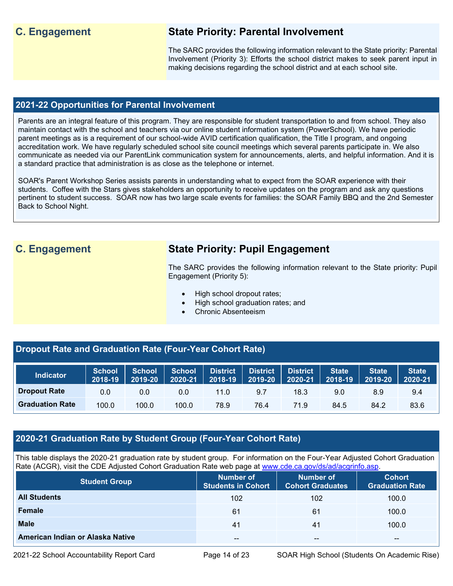## **C. Engagement State Priority: Parental Involvement**

The SARC provides the following information relevant to the State priority: Parental Involvement (Priority 3): Efforts the school district makes to seek parent input in making decisions regarding the school district and at each school site.

### **2021-22 Opportunities for Parental Involvement**

Parents are an integral feature of this program. They are responsible for student transportation to and from school. They also maintain contact with the school and teachers via our online student information system (PowerSchool). We have periodic parent meetings as is a requirement of our school-wide AVID certification qualification, the Title I program, and ongoing accreditation work. We have regularly scheduled school site council meetings which several parents participate in. We also communicate as needed via our ParentLink communication system for announcements, alerts, and helpful information. And it is a standard practice that administration is as close as the telephone or internet.

SOAR's Parent Workshop Series assists parents in understanding what to expect from the SOAR experience with their students. Coffee with the Stars gives stakeholders an opportunity to receive updates on the program and ask any questions pertinent to student success. SOAR now has two large scale events for families: the SOAR Family BBQ and the 2nd Semester Back to School Night.

## **C. Engagement State Priority: Pupil Engagement**

The SARC provides the following information relevant to the State priority: Pupil Engagement (Priority 5):

- High school dropout rates;
	- High school graduation rates; and
- Chronic Absenteeism

## **Dropout Rate and Graduation Rate (Four-Year Cohort Rate)**

| <b>Indicator</b>       | <b>School</b><br>2018-19 | <b>School</b><br>2019-20 | <b>School</b><br>2020-21 | <b>District</b><br>2018-19 | <b>District</b><br>2019-20 | <b>District</b><br>2020-21 | State<br>2018-19 | State <sup>1</sup><br>2019-20 | <b>State</b><br>2020-21 |
|------------------------|--------------------------|--------------------------|--------------------------|----------------------------|----------------------------|----------------------------|------------------|-------------------------------|-------------------------|
| <b>Dropout Rate</b>    | 0.0                      | 0.0                      | 0.0                      | 11.0                       | 9.7                        | 18.3                       | 9.0              | 8.9                           | 9.4                     |
| <b>Graduation Rate</b> | 100.0                    | 100.0                    | 100.0                    | 78.9                       | 76.4                       | 71.9                       | 84.5             | 84.2                          | 83.6                    |

## **2020-21 Graduation Rate by Student Group (Four-Year Cohort Rate)**

This table displays the 2020-21 graduation rate by student group. For information on the Four-Year Adjusted Cohort Graduation Rate (ACGR), visit the CDE Adjusted Cohort Graduation Rate web page at [www.cde.ca.gov/ds/ad/acgrinfo.asp.](http://www.cde.ca.gov/ds/ad/acgrinfo.asp)

| <b>Student Group</b>             | Number of<br><b>Students in Cohort</b> | Number of<br><b>Cohort Graduates</b> | <b>Cohort</b><br><b>Graduation Rate</b> |
|----------------------------------|----------------------------------------|--------------------------------------|-----------------------------------------|
| <b>All Students</b>              | 102                                    | 102                                  | 100.0                                   |
| Female                           | 61                                     | 61                                   | 100.0                                   |
| <b>Male</b>                      | 41                                     | 41                                   | 100.0                                   |
| American Indian or Alaska Native | $- -$                                  | --                                   | $- -$                                   |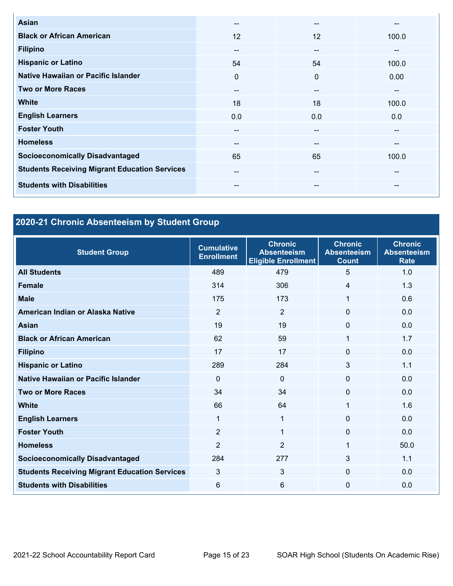| Asian                                                | --           | --                       | --    |
|------------------------------------------------------|--------------|--------------------------|-------|
| <b>Black or African American</b>                     | 12           | 12                       | 100.0 |
| <b>Filipino</b>                                      | $- -$        | --                       | --    |
| <b>Hispanic or Latino</b>                            | 54           | 54                       | 100.0 |
| Native Hawaiian or Pacific Islander                  | $\mathbf{0}$ | $\Omega$                 | 0.00  |
| <b>Two or More Races</b>                             | $- -$        | $\overline{\phantom{m}}$ | --    |
| <b>White</b>                                         | 18           | 18                       | 100.0 |
| <b>English Learners</b>                              | 0.0          | 0.0                      | 0.0   |
| <b>Foster Youth</b>                                  | --           | $-$                      | --    |
| <b>Homeless</b>                                      | $- -$        | $- -$                    | --    |
| <b>Socioeconomically Disadvantaged</b>               | 65           | 65                       | 100.0 |
| <b>Students Receiving Migrant Education Services</b> | --           | $-$                      | --    |
| <b>Students with Disabilities</b>                    | $- -$        | --                       | --    |

## **2020-21 Chronic Absenteeism by Student Group**

| <b>Student Group</b>                                 | <b>Cumulative</b><br><b>Enrollment</b> | <b>Chronic</b><br><b>Absenteeism</b><br><b>Eligible Enrollment</b> | <b>Chronic</b><br><b>Absenteeism</b><br><b>Count</b> | <b>Chronic</b><br><b>Absenteeism</b><br><b>Rate</b> |
|------------------------------------------------------|----------------------------------------|--------------------------------------------------------------------|------------------------------------------------------|-----------------------------------------------------|
| <b>All Students</b>                                  | 489                                    | 479                                                                | 5                                                    | 1.0                                                 |
| <b>Female</b>                                        | 314                                    | 306                                                                | 4                                                    | 1.3                                                 |
| <b>Male</b>                                          | 175                                    | 173                                                                | 1                                                    | 0.6                                                 |
| American Indian or Alaska Native                     | $\overline{2}$                         | 2                                                                  | 0                                                    | 0.0                                                 |
| <b>Asian</b>                                         | 19                                     | 19                                                                 | 0                                                    | 0.0                                                 |
| <b>Black or African American</b>                     | 62                                     | 59                                                                 | 1                                                    | 1.7                                                 |
| <b>Filipino</b>                                      | 17                                     | 17                                                                 | 0                                                    | 0.0                                                 |
| <b>Hispanic or Latino</b>                            | 289                                    | 284                                                                | 3                                                    | 1.1                                                 |
| Native Hawaiian or Pacific Islander                  | $\Omega$                               | 0                                                                  | 0                                                    | 0.0                                                 |
| <b>Two or More Races</b>                             | 34                                     | 34                                                                 | 0                                                    | 0.0                                                 |
| <b>White</b>                                         | 66                                     | 64                                                                 | 1                                                    | 1.6                                                 |
| <b>English Learners</b>                              | 1                                      | 1                                                                  | $\Omega$                                             | 0.0                                                 |
| <b>Foster Youth</b>                                  | $\overline{2}$                         | 1                                                                  | $\Omega$                                             | 0.0                                                 |
| <b>Homeless</b>                                      | 2                                      | $\overline{2}$                                                     | 1                                                    | 50.0                                                |
| <b>Socioeconomically Disadvantaged</b>               | 284                                    | 277                                                                | 3                                                    | 1.1                                                 |
| <b>Students Receiving Migrant Education Services</b> | 3                                      | 3                                                                  | 0                                                    | 0.0                                                 |
| <b>Students with Disabilities</b>                    | 6                                      | 6                                                                  | $\mathbf{0}$                                         | 0.0                                                 |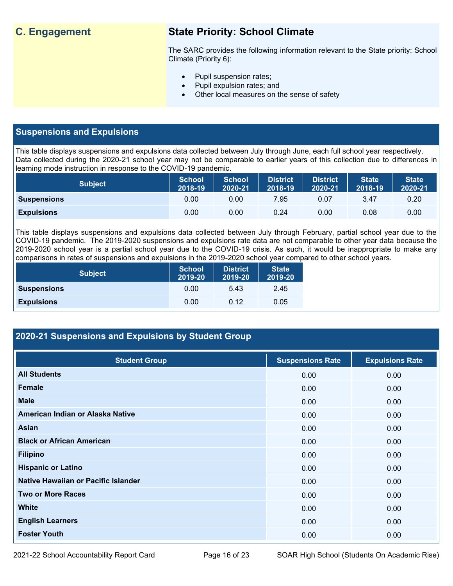## **C. Engagement State Priority: School Climate**

The SARC provides the following information relevant to the State priority: School Climate (Priority 6):

- Pupil suspension rates;
- Pupil expulsion rates; and
- Other local measures on the sense of safety

## **Suspensions and Expulsions**

This table displays suspensions and expulsions data collected between July through June, each full school year respectively. Data collected during the 2020-21 school year may not be comparable to earlier years of this collection due to differences in learning mode instruction in response to the COVID-19 pandemic.

| <b>Subject</b>     | <b>School</b><br>2018-19 | <b>School</b><br>2020-21 | <b>District</b><br>2018-19 | <b>District</b><br>2020-21 | <b>State</b><br>2018-19 | <b>State</b><br>2020-21 |
|--------------------|--------------------------|--------------------------|----------------------------|----------------------------|-------------------------|-------------------------|
| <b>Suspensions</b> | 0.00                     | 0.00                     | 7.95                       | 0.07                       | 3.47                    | 0.20                    |
| <b>Expulsions</b>  | 0.00                     | 0.00                     | 0.24                       | 0.00                       | 0.08                    | 0.00                    |

This table displays suspensions and expulsions data collected between July through February, partial school year due to the COVID-19 pandemic. The 2019-2020 suspensions and expulsions rate data are not comparable to other year data because the 2019-2020 school year is a partial school year due to the COVID-19 crisis. As such, it would be inappropriate to make any comparisons in rates of suspensions and expulsions in the 2019-2020 school year compared to other school years.

| <b>Subject</b>     | <b>School</b><br>2019-20 | <b>District</b><br>2019-20 | <b>State</b><br>2019-20 |
|--------------------|--------------------------|----------------------------|-------------------------|
| <b>Suspensions</b> | 0.00                     | 5.43                       | 2.45                    |
| <b>Expulsions</b>  | 0.00                     | 0.12                       | 0.05                    |

## **2020-21 Suspensions and Expulsions by Student Group**

| <b>Student Group</b>                | <b>Suspensions Rate</b> | <b>Expulsions Rate</b> |
|-------------------------------------|-------------------------|------------------------|
| <b>All Students</b>                 | 0.00                    | 0.00                   |
| <b>Female</b>                       | 0.00                    | 0.00                   |
| <b>Male</b>                         | 0.00                    | 0.00                   |
| American Indian or Alaska Native    | 0.00                    | 0.00                   |
| Asian                               | 0.00                    | 0.00                   |
| <b>Black or African American</b>    | 0.00                    | 0.00                   |
| <b>Filipino</b>                     | 0.00                    | 0.00                   |
| <b>Hispanic or Latino</b>           | 0.00                    | 0.00                   |
| Native Hawaiian or Pacific Islander | 0.00                    | 0.00                   |
| <b>Two or More Races</b>            | 0.00                    | 0.00                   |
| <b>White</b>                        | 0.00                    | 0.00                   |
| <b>English Learners</b>             | 0.00                    | 0.00                   |
| <b>Foster Youth</b>                 | 0.00                    | 0.00                   |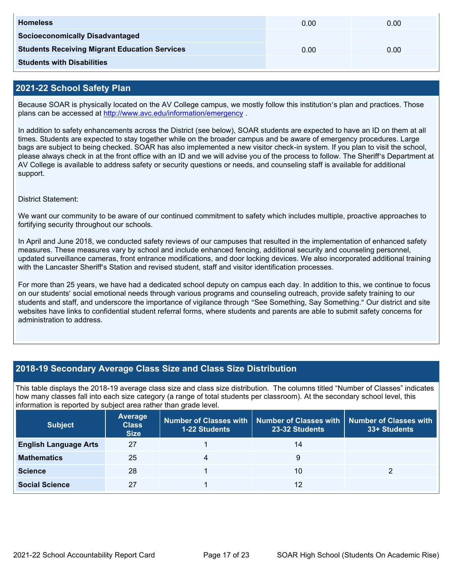| <b>Homeless</b>                                      | 0.00 | 0.00 |
|------------------------------------------------------|------|------|
| <b>Socioeconomically Disadvantaged</b>               |      |      |
| <b>Students Receiving Migrant Education Services</b> | 0.00 | 0.00 |
| <b>Students with Disabilities</b>                    |      |      |

## **2021-22 School Safety Plan**

Because SOAR is physically located on the AV College campus, we mostly follow this institution's plan and practices. Those plans can be accessed at<http://www.avc.edu/information/emergency> .

In addition to safety enhancements across the District (see below), SOAR students are expected to have an ID on them at all times. Students are expected to stay together while on the broader campus and be aware of emergency procedures. Large bags are subject to being checked. SOAR has also implemented a new visitor check-in system. If you plan to visit the school, please always check in at the front office with an ID and we will advise you of the process to follow. The Sheriff's Department at AV College is available to address safety or security questions or needs, and counseling staff is available for additional support.

District Statement:

We want our community to be aware of our continued commitment to safety which includes multiple, proactive approaches to fortifying security throughout our schools.

In April and June 2018, we conducted safety reviews of our campuses that resulted in the implementation of enhanced safety measures. These measures vary by school and include enhanced fencing, additional security and counseling personnel, updated surveillance cameras, front entrance modifications, and door locking devices. We also incorporated additional training with the Lancaster Sheriff's Station and revised student, staff and visitor identification processes.

For more than 25 years, we have had a dedicated school deputy on campus each day. In addition to this, we continue to focus on our students' social emotional needs through various programs and counseling outreach, provide safety training to our students and staff, and underscore the importance of vigilance through "See Something, Say Something." Our district and site websites have links to confidential student referral forms, where students and parents are able to submit safety concerns for administration to address.

## **2018-19 Secondary Average Class Size and Class Size Distribution**

This table displays the 2018-19 average class size and class size distribution. The columns titled "Number of Classes" indicates how many classes fall into each size category (a range of total students per classroom). At the secondary school level, this information is reported by subject area rather than grade level.

| <b>Subject</b>               | <b>Average</b><br><b>Class</b><br><b>Size</b> | <b>1-22 Students</b> | Number of Classes with   Number of Classes with<br>23-32 Students | <b>Number of Classes with</b><br>33+ Students |
|------------------------------|-----------------------------------------------|----------------------|-------------------------------------------------------------------|-----------------------------------------------|
| <b>English Language Arts</b> | 27                                            |                      | 14                                                                |                                               |
| <b>Mathematics</b>           | 25                                            | 4                    | 9                                                                 |                                               |
| <b>Science</b>               | 28                                            |                      | 10                                                                |                                               |
| <b>Social Science</b>        | 27                                            |                      | 12                                                                |                                               |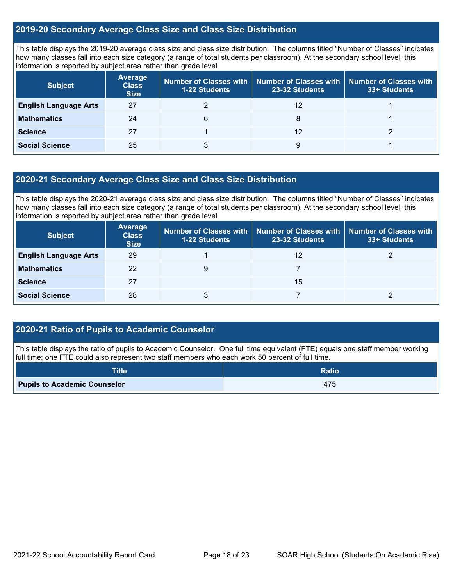## **2019-20 Secondary Average Class Size and Class Size Distribution**

This table displays the 2019-20 average class size and class size distribution. The columns titled "Number of Classes" indicates how many classes fall into each size category (a range of total students per classroom). At the secondary school level, this information is reported by subject area rather than grade level.

| <b>Subject</b>               | <b>Average</b><br><b>Class</b><br><b>Size</b> | Number of Classes with<br><b>1-22 Students</b> | <b>Number of Classes with</b><br>23-32 Students | Number of Classes with<br>33+ Students |
|------------------------------|-----------------------------------------------|------------------------------------------------|-------------------------------------------------|----------------------------------------|
| <b>English Language Arts</b> | 27                                            |                                                | 12                                              |                                        |
| <b>Mathematics</b>           | 24                                            | 6                                              | 8                                               |                                        |
| <b>Science</b>               | 27                                            |                                                | 12                                              |                                        |
| <b>Social Science</b>        | 25                                            |                                                | 9                                               |                                        |

## **2020-21 Secondary Average Class Size and Class Size Distribution**

This table displays the 2020-21 average class size and class size distribution. The columns titled "Number of Classes" indicates how many classes fall into each size category (a range of total students per classroom). At the secondary school level, this information is reported by subject area rather than grade level.

| <b>Subject</b>               | <b>Average</b><br><b>Class</b><br><b>Size</b> | <b>Number of Classes with</b><br><b>1-22 Students</b> | 23-32 Students | Number of Classes with Number of Classes with<br>33+ Students |
|------------------------------|-----------------------------------------------|-------------------------------------------------------|----------------|---------------------------------------------------------------|
| <b>English Language Arts</b> | 29                                            |                                                       | 12             |                                                               |
| <b>Mathematics</b>           | 22                                            | 9                                                     |                |                                                               |
| <b>Science</b>               | 27                                            |                                                       | 15             |                                                               |
| <b>Social Science</b>        | 28                                            |                                                       |                |                                                               |

## **2020-21 Ratio of Pupils to Academic Counselor**

This table displays the ratio of pupils to Academic Counselor. One full time equivalent (FTE) equals one staff member working full time; one FTE could also represent two staff members who each work 50 percent of full time.

| <b>Title</b>                        | <b>Ratio</b> |
|-------------------------------------|--------------|
| <b>Pupils to Academic Counselor</b> | 475          |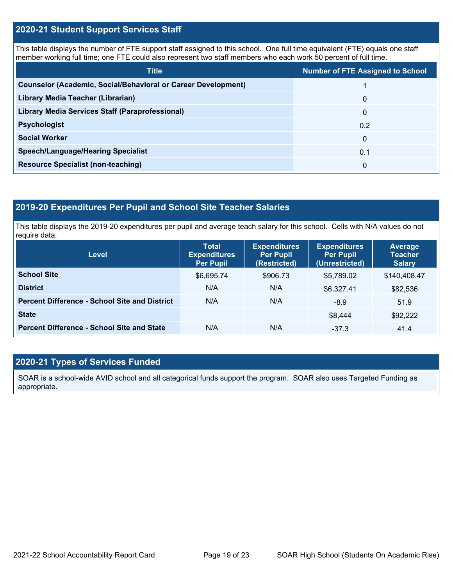## **2020-21 Student Support Services Staff**

This table displays the number of FTE support staff assigned to this school. One full time equivalent (FTE) equals one staff member working full time; one FTE could also represent two staff members who each work 50 percent of full time.

| <b>Title</b>                                                         | <b>Number of FTE Assigned to School</b> |
|----------------------------------------------------------------------|-----------------------------------------|
| <b>Counselor (Academic, Social/Behavioral or Career Development)</b> |                                         |
| Library Media Teacher (Librarian)                                    | 0                                       |
| Library Media Services Staff (Paraprofessional)                      | 0                                       |
| <b>Psychologist</b>                                                  | 0.2                                     |
| <b>Social Worker</b>                                                 | $\Omega$                                |
| <b>Speech/Language/Hearing Specialist</b>                            | 0.1                                     |
| <b>Resource Specialist (non-teaching)</b>                            | 0                                       |

## **2019-20 Expenditures Per Pupil and School Site Teacher Salaries**

This table displays the 2019-20 expenditures per pupil and average teach salary for this school. Cells with N/A values do not require data.

| Level                                                | <b>Total</b><br><b>Expenditures</b><br><b>Per Pupil</b> | <b>Expenditures</b><br><b>Per Pupil</b><br>(Restricted) | <b>Expenditures</b><br><b>Per Pupil</b><br>(Unrestricted) | <b>Average</b><br><b>Teacher</b><br><b>Salary</b> |
|------------------------------------------------------|---------------------------------------------------------|---------------------------------------------------------|-----------------------------------------------------------|---------------------------------------------------|
| <b>School Site</b>                                   | \$6,695.74                                              | \$906.73                                                | \$5,789.02                                                | \$140,408.47                                      |
| <b>District</b>                                      | N/A                                                     | N/A                                                     | \$6,327.41                                                | \$82,536                                          |
| <b>Percent Difference - School Site and District</b> | N/A                                                     | N/A                                                     | $-8.9$                                                    | 51.9                                              |
| <b>State</b>                                         |                                                         |                                                         | \$8,444                                                   | \$92,222                                          |
| <b>Percent Difference - School Site and State</b>    | N/A                                                     | N/A                                                     | $-37.3$                                                   | 41.4                                              |

## **2020-21 Types of Services Funded**

SOAR is a school-wide AVID school and all categorical funds support the program. SOAR also uses Targeted Funding as appropriate.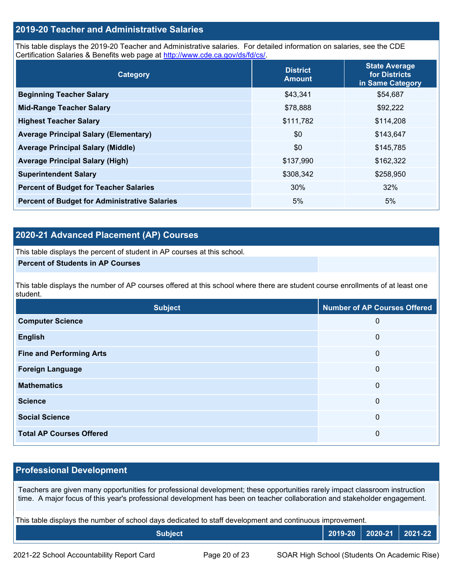## **2019-20 Teacher and Administrative Salaries**

This table displays the 2019-20 Teacher and Administrative salaries. For detailed information on salaries, see the CDE Certification Salaries & Benefits web page at [http://www.cde.ca.gov/ds/fd/cs/.](http://www.cde.ca.gov/ds/fd/cs/)

| Category                                             | <b>District</b><br><b>Amount</b> | <b>State Average</b><br>for Districts<br>in Same Category |
|------------------------------------------------------|----------------------------------|-----------------------------------------------------------|
| <b>Beginning Teacher Salary</b>                      | \$43,341                         | \$54,687                                                  |
| <b>Mid-Range Teacher Salary</b>                      | \$78,888                         | \$92,222                                                  |
| <b>Highest Teacher Salary</b>                        | \$111,782                        | \$114,208                                                 |
| <b>Average Principal Salary (Elementary)</b>         | \$0                              | \$143,647                                                 |
| <b>Average Principal Salary (Middle)</b>             | \$0                              | \$145,785                                                 |
| <b>Average Principal Salary (High)</b>               | \$137,990                        | \$162,322                                                 |
| <b>Superintendent Salary</b>                         | \$308,342                        | \$258,950                                                 |
| <b>Percent of Budget for Teacher Salaries</b>        | 30%                              | 32%                                                       |
| <b>Percent of Budget for Administrative Salaries</b> | 5%                               | 5%                                                        |

## **2020-21 Advanced Placement (AP) Courses**

This table displays the percent of student in AP courses at this school.

#### **Percent of Students in AP Courses**

This table displays the number of AP courses offered at this school where there are student course enrollments of at least one student.

| <b>Subject</b>                  | <b>Number of AP Courses Offered</b> |
|---------------------------------|-------------------------------------|
| <b>Computer Science</b>         | 0                                   |
| <b>English</b>                  | 0                                   |
| <b>Fine and Performing Arts</b> | 0                                   |
| <b>Foreign Language</b>         | 0                                   |
| <b>Mathematics</b>              | 0                                   |
| <b>Science</b>                  | 0                                   |
| <b>Social Science</b>           | 0                                   |
| <b>Total AP Courses Offered</b> | 0                                   |

## **Professional Development**

Teachers are given many opportunities for professional development; these opportunities rarely impact classroom instruction time. A major focus of this year's professional development has been on teacher collaboration and stakeholder engagement.

This table displays the number of school days dedicated to staff development and continuous improvement.

| <b>Subject</b> | 2019-20 | $ 2020-21 $ | 2021-22 |
|----------------|---------|-------------|---------|
|                |         |             |         |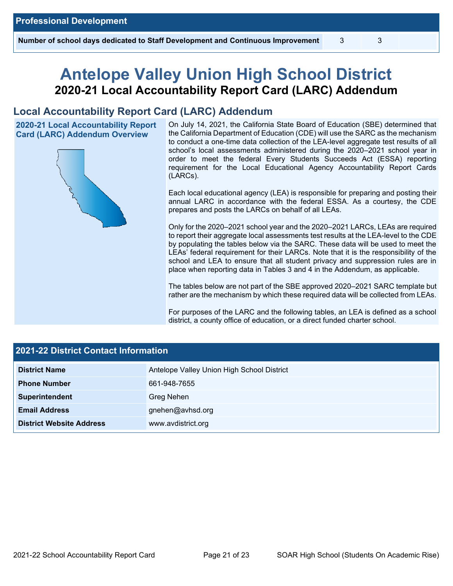# **Antelope Valley Union High School District 2020-21 Local Accountability Report Card (LARC) Addendum**

## **Local Accountability Report Card (LARC) Addendum**

**2020-21 Local Accountability Report Card (LARC) Addendum Overview**



On July 14, 2021, the California State Board of Education (SBE) determined that the California Department of Education (CDE) will use the SARC as the mechanism to conduct a one-time data collection of the LEA-level aggregate test results of all school's local assessments administered during the 2020–2021 school year in order to meet the federal Every Students Succeeds Act (ESSA) reporting requirement for the Local Educational Agency Accountability Report Cards (LARCs).

Each local educational agency (LEA) is responsible for preparing and posting their annual LARC in accordance with the federal ESSA. As a courtesy, the CDE prepares and posts the LARCs on behalf of all LEAs.

Only for the 2020–2021 school year and the 2020–2021 LARCs, LEAs are required to report their aggregate local assessments test results at the LEA-level to the CDE by populating the tables below via the SARC. These data will be used to meet the LEAs' federal requirement for their LARCs. Note that it is the responsibility of the school and LEA to ensure that all student privacy and suppression rules are in place when reporting data in Tables 3 and 4 in the Addendum, as applicable.

The tables below are not part of the SBE approved 2020–2021 SARC template but rather are the mechanism by which these required data will be collected from LEAs.

For purposes of the LARC and the following tables, an LEA is defined as a school district, a county office of education, or a direct funded charter school.

| <b>2021-22 District Contact Information</b> |                                            |  |  |  |
|---------------------------------------------|--------------------------------------------|--|--|--|
| <b>District Name</b>                        | Antelope Valley Union High School District |  |  |  |
| <b>Phone Number</b>                         | 661-948-7655                               |  |  |  |
| Superintendent                              | Greg Nehen                                 |  |  |  |
| <b>Email Address</b>                        | gnehen@avhsd.org                           |  |  |  |
| <b>District Website Address</b>             | www.avdistrict.org                         |  |  |  |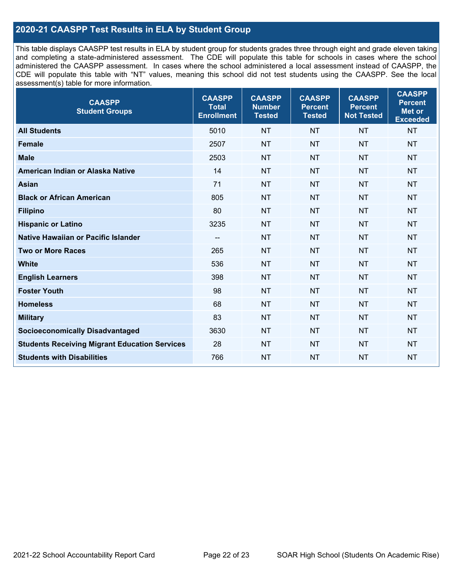## **2020-21 CAASPP Test Results in ELA by Student Group**

This table displays CAASPP test results in ELA by student group for students grades three through eight and grade eleven taking and completing a state-administered assessment. The CDE will populate this table for schools in cases where the school administered the CAASPP assessment. In cases where the school administered a local assessment instead of CAASPP, the CDE will populate this table with "NT" values, meaning this school did not test students using the CAASPP. See the local assessment(s) table for more information.

| <b>CAASPP</b><br><b>Student Groups</b>               | <b>CAASPP</b><br><b>Total</b><br><b>Enrollment</b> | <b>CAASPP</b><br><b>Number</b><br><b>Tested</b> | <b>CAASPP</b><br><b>Percent</b><br><b>Tested</b> | <b>CAASPP</b><br><b>Percent</b><br><b>Not Tested</b> | <b>CAASPP</b><br><b>Percent</b><br><b>Met or</b><br><b>Exceeded</b> |
|------------------------------------------------------|----------------------------------------------------|-------------------------------------------------|--------------------------------------------------|------------------------------------------------------|---------------------------------------------------------------------|
| <b>All Students</b>                                  | 5010                                               | <b>NT</b>                                       | <b>NT</b>                                        | <b>NT</b>                                            | <b>NT</b>                                                           |
| <b>Female</b>                                        | 2507                                               | <b>NT</b>                                       | <b>NT</b>                                        | <b>NT</b>                                            | <b>NT</b>                                                           |
| <b>Male</b>                                          | 2503                                               | <b>NT</b>                                       | <b>NT</b>                                        | <b>NT</b>                                            | <b>NT</b>                                                           |
| American Indian or Alaska Native                     | 14                                                 | <b>NT</b>                                       | <b>NT</b>                                        | <b>NT</b>                                            | <b>NT</b>                                                           |
| <b>Asian</b>                                         | 71                                                 | <b>NT</b>                                       | <b>NT</b>                                        | <b>NT</b>                                            | <b>NT</b>                                                           |
| <b>Black or African American</b>                     | 805                                                | <b>NT</b>                                       | <b>NT</b>                                        | <b>NT</b>                                            | <b>NT</b>                                                           |
| <b>Filipino</b>                                      | 80                                                 | <b>NT</b>                                       | <b>NT</b>                                        | <b>NT</b>                                            | <b>NT</b>                                                           |
| <b>Hispanic or Latino</b>                            | 3235                                               | <b>NT</b>                                       | <b>NT</b>                                        | <b>NT</b>                                            | <b>NT</b>                                                           |
| Native Hawaiian or Pacific Islander                  | $\overline{\phantom{a}}$                           | <b>NT</b>                                       | <b>NT</b>                                        | <b>NT</b>                                            | <b>NT</b>                                                           |
| <b>Two or More Races</b>                             | 265                                                | <b>NT</b>                                       | <b>NT</b>                                        | <b>NT</b>                                            | <b>NT</b>                                                           |
| <b>White</b>                                         | 536                                                | <b>NT</b>                                       | <b>NT</b>                                        | <b>NT</b>                                            | <b>NT</b>                                                           |
| <b>English Learners</b>                              | 398                                                | <b>NT</b>                                       | <b>NT</b>                                        | <b>NT</b>                                            | <b>NT</b>                                                           |
| <b>Foster Youth</b>                                  | 98                                                 | <b>NT</b>                                       | <b>NT</b>                                        | <b>NT</b>                                            | <b>NT</b>                                                           |
| <b>Homeless</b>                                      | 68                                                 | <b>NT</b>                                       | <b>NT</b>                                        | <b>NT</b>                                            | <b>NT</b>                                                           |
| <b>Military</b>                                      | 83                                                 | <b>NT</b>                                       | <b>NT</b>                                        | <b>NT</b>                                            | <b>NT</b>                                                           |
| <b>Socioeconomically Disadvantaged</b>               | 3630                                               | <b>NT</b>                                       | <b>NT</b>                                        | <b>NT</b>                                            | <b>NT</b>                                                           |
| <b>Students Receiving Migrant Education Services</b> | 28                                                 | <b>NT</b>                                       | <b>NT</b>                                        | <b>NT</b>                                            | <b>NT</b>                                                           |
| <b>Students with Disabilities</b>                    | 766                                                | <b>NT</b>                                       | <b>NT</b>                                        | <b>NT</b>                                            | <b>NT</b>                                                           |